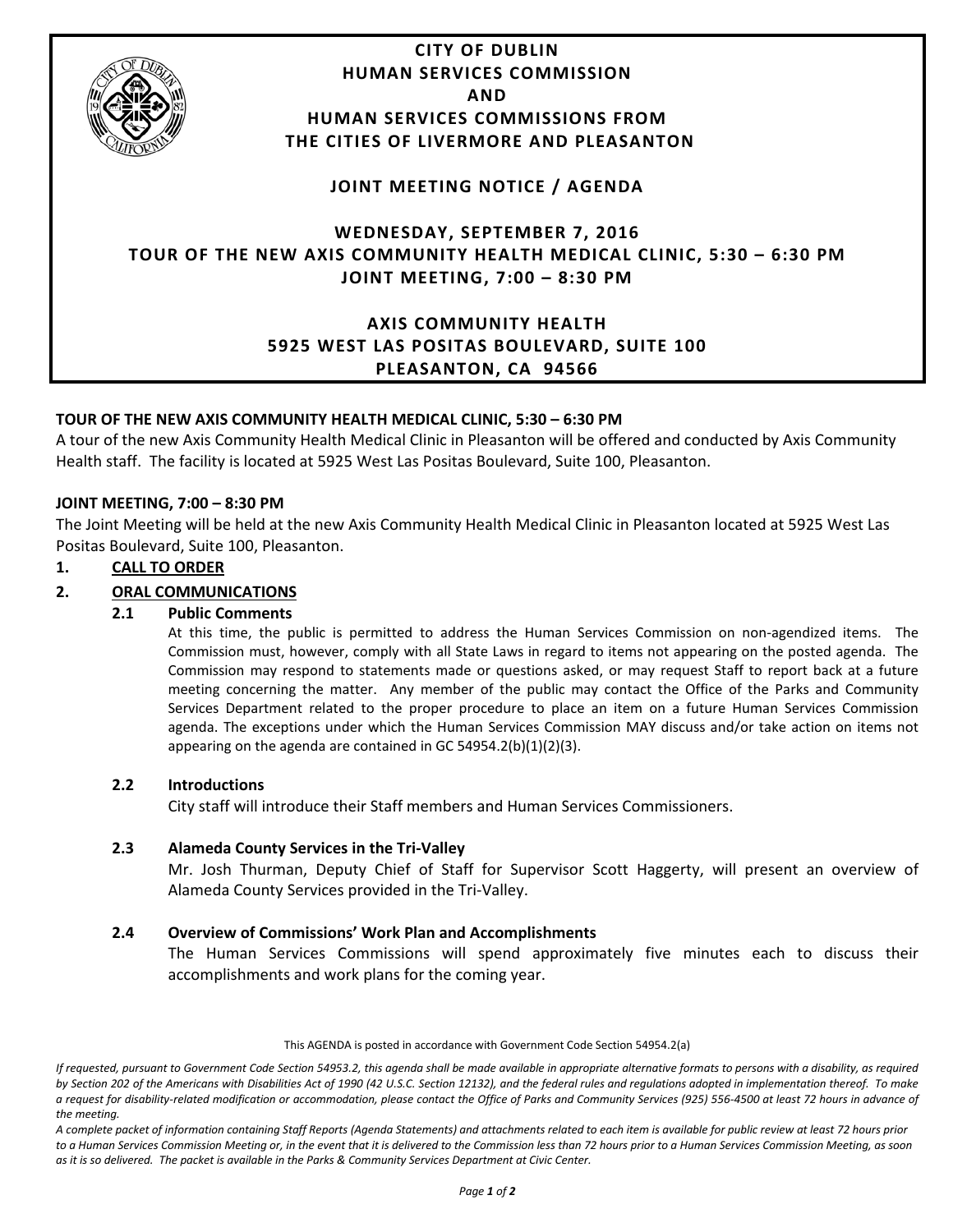

## **TOUR OF THE NEW AXIS COMMUNITY HEALTH MEDICAL CLINIC, 5:30 – 6:30 PM**

A tour of the new Axis Community Health Medical Clinic in Pleasanton will be offered and conducted by Axis Community Health staff. The facility is located at 5925 West Las Positas Boulevard, Suite 100, Pleasanton.

## **JOINT MEETING, 7:00 – 8:30 PM**

The Joint Meeting will be held at the new Axis Community Health Medical Clinic in Pleasanton located at 5925 West Las Positas Boulevard, Suite 100, Pleasanton.

#### **1. CALL TO ORDER**

## **2. ORAL COMMUNICATIONS**

#### **2.1 Public Comments**

At this time, the public is permitted to address the Human Services Commission on non-agendized items. The Commission must, however, comply with all State Laws in regard to items not appearing on the posted agenda. The Commission may respond to statements made or questions asked, or may request Staff to report back at a future meeting concerning the matter. Any member of the public may contact the Office of the Parks and Community Services Department related to the proper procedure to place an item on a future Human Services Commission agenda. The exceptions under which the Human Services Commission MAY discuss and/or take action on items not appearing on the agenda are contained in GC 54954.2(b)(1)(2)(3).

#### **2.2 Introductions**

City staff will introduce their Staff members and Human Services Commissioners.

## **2.3 Alameda County Services in the Tri-Valley**

Mr. Josh Thurman, Deputy Chief of Staff for Supervisor Scott Haggerty, will present an overview of Alameda County Services provided in the Tri-Valley.

## **2.4 Overview of Commissions' Work Plan and Accomplishments**

The Human Services Commissions will spend approximately five minutes each to discuss their accomplishments and work plans for the coming year.

#### This AGENDA is posted in accordance with Government Code Section 54954.2(a)

*If requested, pursuant to Government Code Section 54953.2, this agenda shall be made available in appropriate alternative formats to persons with a disability, as required by Section 202 of the Americans with Disabilities Act of 1990 (42 U.S.C. Section 12132), and the federal rules and regulations adopted in implementation thereof. To make a request for disability-related modification or accommodation, please contact the Office of Parks and Community Services (925) 556-4500 at least 72 hours in advance of the meeting.*

*A complete packet of information containing Staff Reports (Agenda Statements) and attachments related to each item is available for public review at least 72 hours prior to a Human Services Commission Meeting or, in the event that it is delivered to the Commission less than 72 hours prior to a Human Services Commission Meeting, as soon as it is so delivered. The packet is available in the Parks & Community Services Department at Civic Center.*